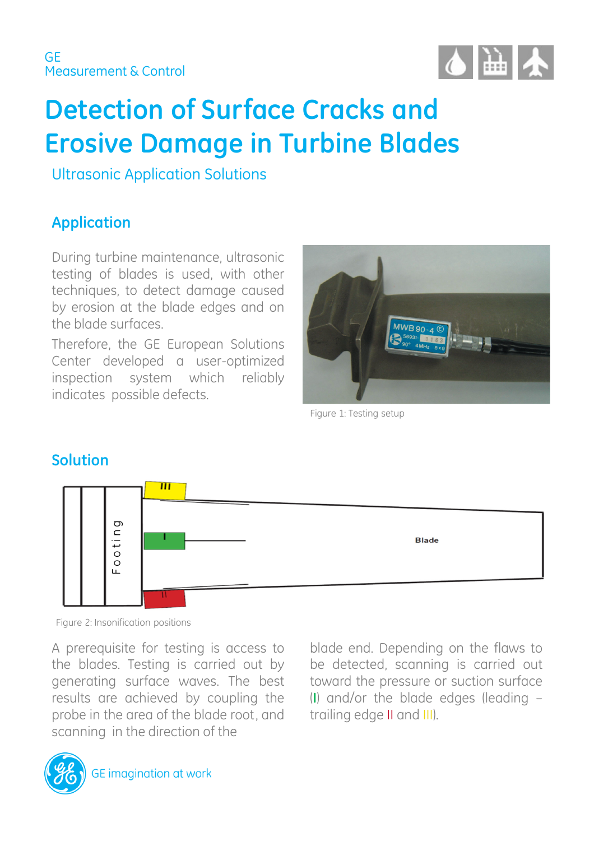

# **Detection of Surface Cracks and Erosive Damage in Turbine Blades**

Ultrasonic Application Solutions

# **Application**

During turbine maintenance, ultrasonic testing of blades is used, with other techniques, to detect damage caused by erosion at the blade edges and on the blade surfaces.

Therefore, the GE European Solutions Center developed a user-optimized inspection system which reliably indicates possible defects.



Figure 1: Testing setup

## **Solution**



A prerequisite for testing is access to the blades. Testing is carried out by generating surface waves. The best results are achieved by coupling the probe in the area of the blade root, and scanning in the direction of the

blade end. Depending on the flaws to be detected, scanning is carried out toward the pressure or suction surface (**I**) and/or the blade edges (leading – trailing edge II and III).